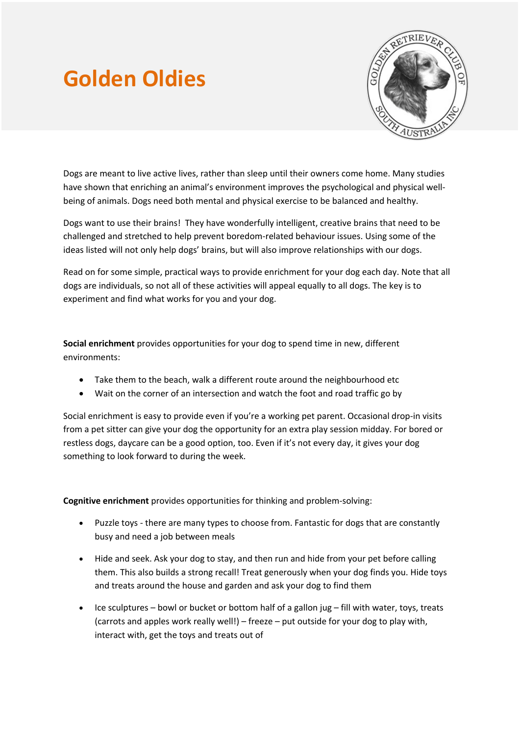## **Golden Oldies**



Dogs are meant to live active lives, rather than sleep until their owners come home. Many studies have shown that enriching an animal's environment improves the psychological and physical wellbeing of animals. Dogs need both mental and physical exercise to be balanced and healthy.

Dogs want to use their brains! They have wonderfully intelligent, creative brains that need to be challenged and stretched to help prevent boredom-related behaviour issues. Using some of the ideas listed will not only help dogs' brains, but will also improve relationships with our dogs.

Read on for some simple, practical ways to provide enrichment for your dog each day. Note that all dogs are individuals, so not all of these activities will appeal equally to all dogs. The key is to experiment and find what works for you and your dog.

**Social enrichment** provides opportunities for your dog to spend time in new, different environments:

- Take them to the beach, walk a different route around the neighbourhood etc
- Wait on the corner of an intersection and watch the foot and road traffic go by

Social enrichment is easy to provide even if you're a working pet parent. Occasional drop-in visits from a pet sitter can give your dog the opportunity for an extra play session midday. For bored or restless dogs, daycare can be a good option, too. Even if it's not every day, it gives your dog something to look forward to during the week.

**Cognitive enrichment** provides opportunities for thinking and problem-solving:

- Puzzle toys there are many types to choose from. Fantastic for dogs that are constantly busy and need a job between meals
- Hide and seek. Ask your dog to stay, and then run and hide from your pet before calling them. This also builds a strong recall! Treat generously when your dog finds you. Hide toys and treats around the house and garden and ask your dog to find them
- Ice sculptures bowl or bucket or bottom half of a gallon jug fill with water, toys, treats (carrots and apples work really well!) – freeze – put outside for your dog to play with, interact with, get the toys and treats out of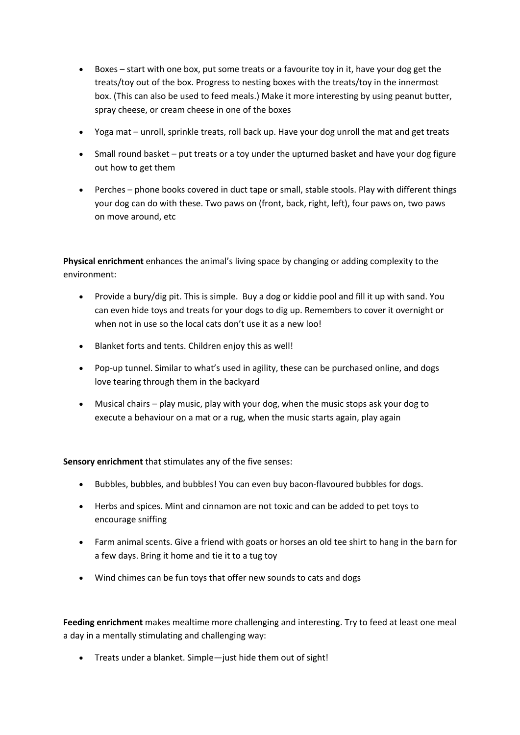- Boxes start with one box, put some treats or a favourite toy in it, have your dog get the treats/toy out of the box. Progress to nesting boxes with the treats/toy in the innermost box. (This can also be used to feed meals.) Make it more interesting by using peanut butter, spray cheese, or cream cheese in one of the boxes
- Yoga mat unroll, sprinkle treats, roll back up. Have your dog unroll the mat and get treats
- Small round basket put treats or a toy under the upturned basket and have your dog figure out how to get them
- Perches phone books covered in duct tape or small, stable stools. Play with different things your dog can do with these. Two paws on (front, back, right, left), four paws on, two paws on move around, etc

**Physical enrichment** enhances the animal's living space by changing or adding complexity to the environment:

- Provide a bury/dig pit. This is simple. Buy a dog or kiddie pool and fill it up with sand. You can even hide toys and treats for your dogs to dig up. Remembers to cover it overnight or when not in use so the local cats don't use it as a new loo!
- Blanket forts and tents. Children enjoy this as well!
- Pop-up tunnel. Similar to what's used in agility, these can be purchased online, and dogs love tearing through them in the backyard
- Musical chairs play music, play with your dog, when the music stops ask your dog to execute a behaviour on a mat or a rug, when the music starts again, play again

**Sensory enrichment** that stimulates any of the five senses:

- Bubbles, bubbles, and bubbles! You can even buy bacon-flavoured bubbles for dogs.
- Herbs and spices. Mint and cinnamon are not toxic and can be added to pet toys to encourage sniffing
- Farm animal scents. Give a friend with goats or horses an old tee shirt to hang in the barn for a few days. Bring it home and tie it to a tug toy
- Wind chimes can be fun toys that offer new sounds to cats and dogs

**Feeding enrichment** makes mealtime more challenging and interesting. Try to feed at least one meal a day in a mentally stimulating and challenging way:

• Treats under a blanket. Simple—just hide them out of sight!